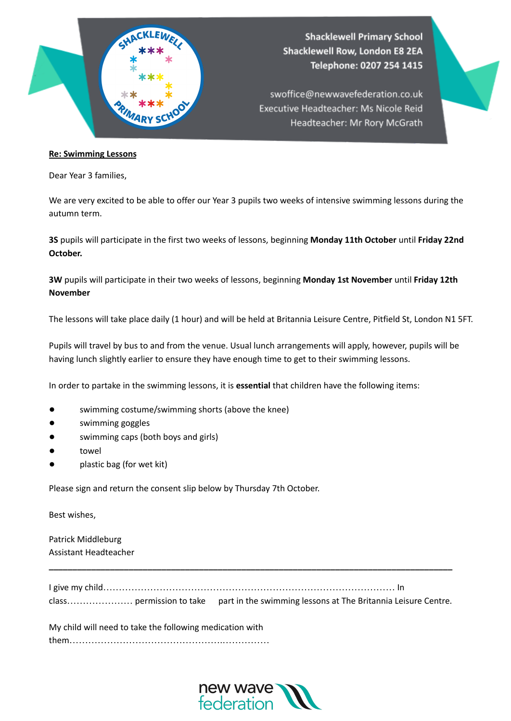

## **Re: Swimming Lessons**

Dear Year 3 families,

We are very excited to be able to offer our Year 3 pupils two weeks of intensive swimming lessons during the autumn term.

**3S** pupils will participate in the first two weeks of lessons, beginning **Monday 11th October** until **Friday 22nd October.**

**3W** pupils will participate in their two weeks of lessons, beginning **Monday 1st November** until **Friday 12th November**

The lessons will take place daily (1 hour) and will be held at Britannia Leisure Centre, Pitfield St, London N1 5FT.

Pupils will travel by bus to and from the venue. Usual lunch arrangements will apply, however, pupils will be having lunch slightly earlier to ensure they have enough time to get to their swimming lessons.

In order to partake in the swimming lessons, it is **essential** that children have the following items:

- swimming costume/swimming shorts (above the knee)
- swimming goggles
- swimming caps (both boys and girls)
- towel
- plastic bag (for wet kit)

Please sign and return the consent slip below by Thursday 7th October.

Best wishes,

Patrick Middleburg Assistant Headteacher

|  | class permission to take part in the swimming lessons at The Britannia Leisure Centre. |
|--|----------------------------------------------------------------------------------------|

**\_\_\_\_\_\_\_\_\_\_\_\_\_\_\_\_\_\_\_\_\_\_\_\_\_\_\_\_\_\_\_\_\_\_\_\_\_\_\_\_\_\_\_\_\_\_\_\_\_\_\_\_\_\_\_\_\_\_\_\_\_\_\_\_\_\_\_\_\_\_\_\_\_\_\_\_\_\_\_\_\_\_\_\_\_\_**

| My child will need to take the following medication with |
|----------------------------------------------------------|
|                                                          |